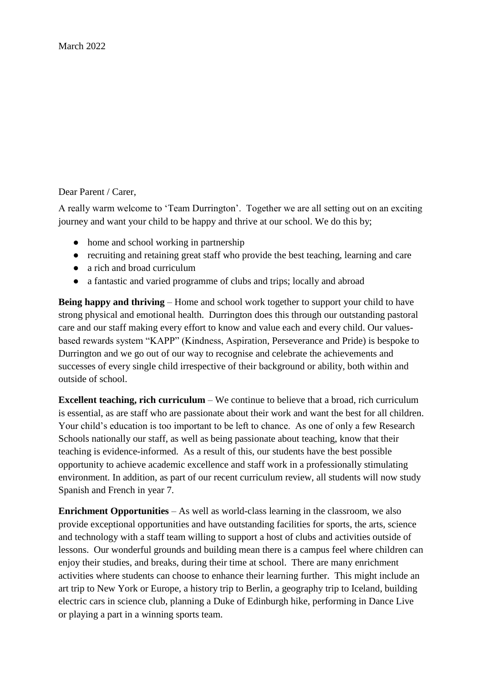Dear Parent / Carer,

A really warm welcome to 'Team Durrington'. Together we are all setting out on an exciting journey and want your child to be happy and thrive at our school. We do this by;

- home and school working in partnership
- recruiting and retaining great staff who provide the best teaching, learning and care
- a rich and broad curriculum
- a fantastic and varied programme of clubs and trips; locally and abroad

**Being happy and thriving** – Home and school work together to support your child to have strong physical and emotional health. Durrington does this through our outstanding pastoral care and our staff making every effort to know and value each and every child. Our valuesbased rewards system "KAPP" (Kindness, Aspiration, Perseverance and Pride) is bespoke to Durrington and we go out of our way to recognise and celebrate the achievements and successes of every single child irrespective of their background or ability, both within and outside of school.

**Excellent teaching, rich curriculum** – We continue to believe that a broad, rich curriculum is essential, as are staff who are passionate about their work and want the best for all children. Your child's education is too important to be left to chance. As one of only a few Research Schools nationally our staff, as well as being passionate about teaching, know that their teaching is evidence-informed. As a result of this, our students have the best possible opportunity to achieve academic excellence and staff work in a professionally stimulating environment. In addition, as part of our recent curriculum review, all students will now study Spanish and French in year 7.

**Enrichment Opportunities** – As well as world-class learning in the classroom, we also provide exceptional opportunities and have outstanding facilities for sports, the arts, science and technology with a staff team willing to support a host of clubs and activities outside of lessons. Our wonderful grounds and building mean there is a campus feel where children can enjoy their studies, and breaks, during their time at school. There are many enrichment activities where students can choose to enhance their learning further. This might include an art trip to New York or Europe, a history trip to Berlin, a geography trip to Iceland, building electric cars in science club, planning a Duke of Edinburgh hike, performing in Dance Live or playing a part in a winning sports team.